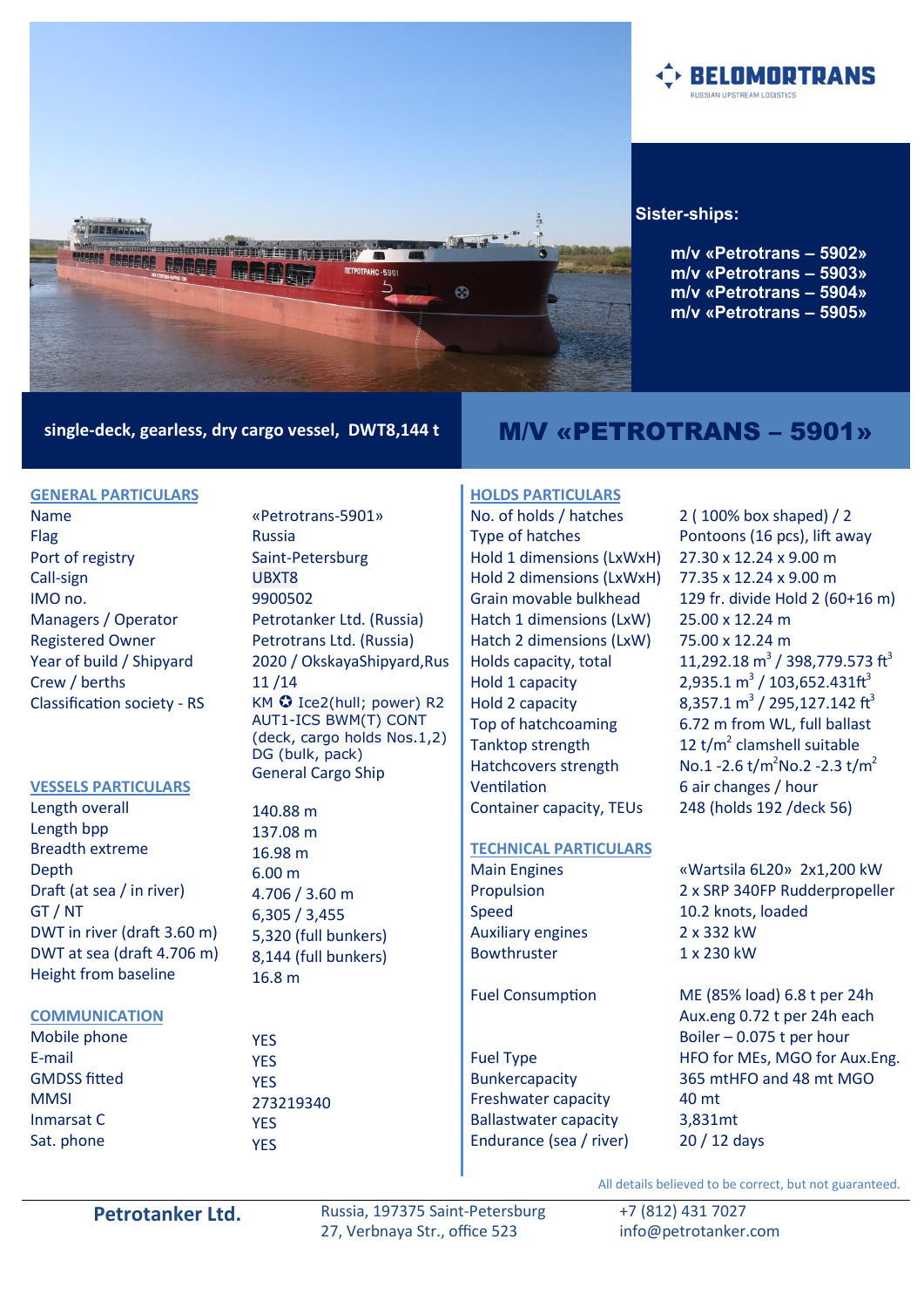

### **Sister-ships:**

**m/v «Petrotrans – 5902» m/v «Petrotrans – 5903» m/v «Petrotrans – 5904» m/v «Petrotrans – 5905»** 

**ELOMORTRANS** 

# single-deck, gearless, dry cargo vessel, DWT8,144 t **M/V «PETROTRANS – 5901»**

# **GENERAL PARTICULARS**

Name Flag Port of registry Call-sign IMO no. Managers / Operator Registered Owner Year of build / Shipyard Crew / berths Classification society - RS

#### **VESSELS PARTICULARS**

Length overall Length bpp Breadth extreme **Depth** Draft (at sea / in river) GT / NT DWT in river (draft 3.60 m) DWT at sea (draft 4.706 m) Height from baseline

#### **COMMUNICATION**

Mobile phone E-mail GMDSS fitted **MMSI** Inmarsat C Sat. phone

«Petrotrans-5901» Russia Saint-Petersburg UBXT8 9900502 Petrotanker Ltd. (Russia) Petrotrans Ltd. (Russia) 2020 / OkskayaShipyard,Rus 11 /14 KM  $\odot$  Ice2(hull; power) R2 АUT1-ICS BWM(T) CONT (deck, cargo holds Nos.1,2) DG (bulk, pack) General Cargo Ship

140.88 m 137.08 m 16.98 m 6.00 m 4.706 / 3.60 m 6,305 / 3,455 5,320 (full bunkers) 8,144 (full bunkers) 16.8 m

YES YES **YFS** 273219340 YES YES

# **HOLDS PARTICULARS**

No. of holds / hatches Type of hatches Hold 1 dimensions (LxWxH) Hold 2 dimensions (LxWxH) Grain movable bulkhead Hatch 1 dimensions (LxW) Hatch 2 dimensions (LxW) Holds capacity, total Hold 1 capacity Hold 2 capacity Top of hatchcoaming Tanktop strength Hatchcovers strength Ventilation Container capacity, TEUs

# **TECHNICAL PARTICULARS**

Main Engines Propulsion Speed Auxiliary engines Bowthruster

#### Fuel Consumption

Fuel Type Bunkercapacity Freshwater capacity Ballastwater capacity Endurance (sea / river) 2 ( 100% box shaped) / 2 Pontoons (16 pcs), lift away 27.30 x 12.24 x 9.00 m 77.35 x 12.24 x 9.00 m 129 fr. divide Hold 2 (60+16 m) 25.00 x 12.24 m 75.00 x 12.24 m 11,292.18  $\text{m}^3$  / 398,779.573 ft<sup>3</sup>  $2,935.1 \text{ m}^3 / 103,652.431 \text{ ft}^3$ 8,357.1 m<sup>3</sup> / 295,127.142 ft<sup>3</sup> 6.72 m from WL, full ballast 12  $t/m^2$  clamshell suitable No.1 -2.6  $t/m^2$ No.2 -2.3  $t/m^2$ 6 air changes / hour 248 (holds 192 /deck 56)

«Wartsila 6L20» 2x1,200 kW 2 x SRP 340FP Rudderpropeller 10.2 knots, loaded 2 x 332 kW 1 x 230 kW

ME (85% load) 6.8 t per 24h Aux.eng 0.72 t per 24h each Boiler – 0.075 t per hour HFO for MEs, MGO for Aux.Eng. 365 mtHFO and 48 mt MGO 40 mt 3,831mt 20 / 12 days

Petrotanker Ltd. Russia, 197375 Saint-Petersburg 27, Verbnaya Str., office 523

+7 (812) 431 7027 info@petrotanker.com

All details believed to be correct, but not guaranteed.